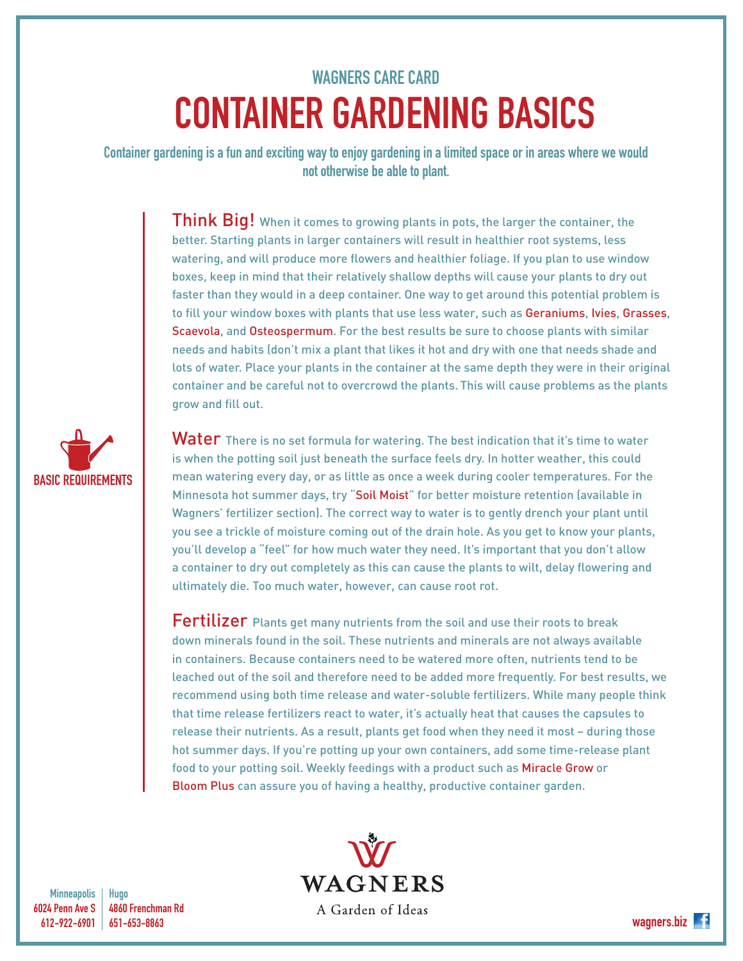## WAGNERS CARE CARD CONTAINER GARDENING BASICS

Container gardening is a fun and exciting way to enjoy gardening in a limited space or in areas where we would not otherwise be able to plant.

> **Think Big!** When it comes to growing plants in pots, the larger the container, the better. Starting plants in larger containers will result in healthier root systems, less watering, and will produce more flowers and healthier foliage. If you plan to use window boxes, keep in mind that their relatively shallow depths will cause your plants to dry out faster than they would in a deep container. One way to get around this potential problem is to fill your window boxes with plants that use less water, such as Geraniums, Ivies, Grasses, Scaevola, and Osteospermum. For the best results be sure to choose plants with similar needs and habits (don't mix a plant that likes it hot and dry with one that needs shade and lots of water. Place your plants in the container at the same depth they were in their original container and be careful not to overcrowd the plants. This will cause problems as the plants grow and fill out.

Water There is no set formula for watering. The best indication that it's time to water is when the potting soil just beneath the surface feels dry. In hotter weather, this could mean watering every day, or as little as once a week during cooler temperatures. For the Minnesota hot summer days, try "Soil Moist" for better moisture retention (available in Wagners' fertilizer section). The correct way to water is to gently drench your plant until you see a trickle of moisture coming out of the drain hole. As you get to know your plants, you'll develop a "feel" for how much water they need. It's important that you don't allow a container to dry out completely as this can cause the plants to wilt, delay flowering and ultimately die. Too much water, however, can cause root rot.

Fertilizer Plants get many nutrients from the soil and use their roots to break down minerals found in the soil. These nutrients and minerals are not always available in containers. Because containers need to be watered more often, nutrients tend to be leached out of the soil and therefore need to be added more frequently. For best results, we recommend using both time release and water-soluble fertilizers. While many people think that time release fertilizers react to water, it's actually heat that causes the capsules to release their nutrients. As a result, plants get food when they need it most – during those hot summer days. If you're potting up your own containers, add some time-release plant food to your potting soil. Weekly feedings with a product such as Miracle Grow or Bloom Plus can assure you of having a healthy, productive container garden.



BASIC REQUIREMENTS

Hugo 4860 Frenchman Rd 651-653-8863